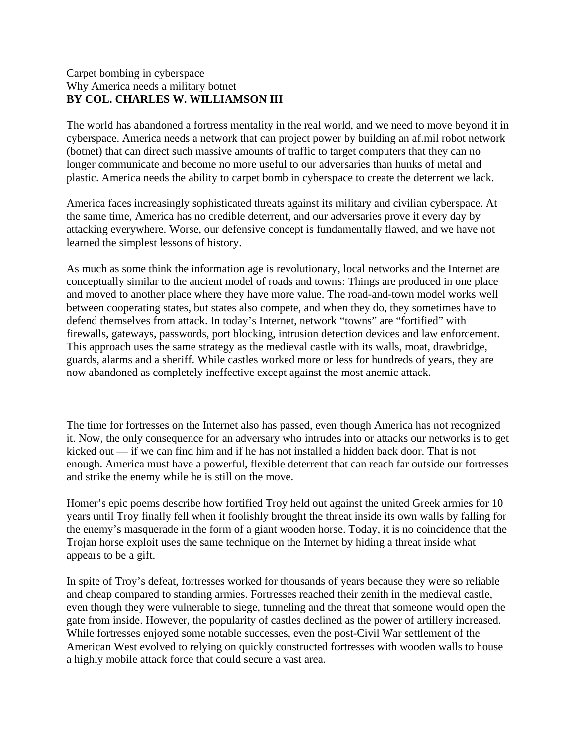## Carpet bombing in cyberspace Why America needs a military botnet **BY COL. CHARLES W. WILLIAMSON III**

The world has abandoned a fortress mentality in the real world, and we need to move beyond it in cyberspace. America needs a network that can project power by building an af.mil robot network (botnet) that can direct such massive amounts of traffic to target computers that they can no longer communicate and become no more useful to our adversaries than hunks of metal and plastic. America needs the ability to carpet bomb in cyberspace to create the deterrent we lack.

America faces increasingly sophisticated threats against its military and civilian cyberspace. At the same time, America has no credible deterrent, and our adversaries prove it every day by attacking everywhere. Worse, our defensive concept is fundamentally flawed, and we have not learned the simplest lessons of history.

As much as some think the information age is revolutionary, local networks and the Internet are conceptually similar to the ancient model of roads and towns: Things are produced in one place and moved to another place where they have more value. The road-and-town model works well between cooperating states, but states also compete, and when they do, they sometimes have to defend themselves from attack. In today's Internet, network "towns" are "fortified" with firewalls, gateways, passwords, port blocking, intrusion detection devices and law enforcement. This approach uses the same strategy as the medieval castle with its walls, moat, drawbridge, guards, alarms and a sheriff. While castles worked more or less for hundreds of years, they are now abandoned as completely ineffective except against the most anemic attack.

The time for fortresses on the Internet also has passed, even though America has not recognized it. Now, the only consequence for an adversary who intrudes into or attacks our networks is to get kicked out — if we can find him and if he has not installed a hidden back door. That is not enough. America must have a powerful, flexible deterrent that can reach far outside our fortresses and strike the enemy while he is still on the move.

Homer's epic poems describe how fortified Troy held out against the united Greek armies for 10 years until Troy finally fell when it foolishly brought the threat inside its own walls by falling for the enemy's masquerade in the form of a giant wooden horse. Today, it is no coincidence that the Trojan horse exploit uses the same technique on the Internet by hiding a threat inside what appears to be a gift.

In spite of Troy's defeat, fortresses worked for thousands of years because they were so reliable and cheap compared to standing armies. Fortresses reached their zenith in the medieval castle, even though they were vulnerable to siege, tunneling and the threat that someone would open the gate from inside. However, the popularity of castles declined as the power of artillery increased. While fortresses enjoyed some notable successes, even the post-Civil War settlement of the American West evolved to relying on quickly constructed fortresses with wooden walls to house a highly mobile attack force that could secure a vast area.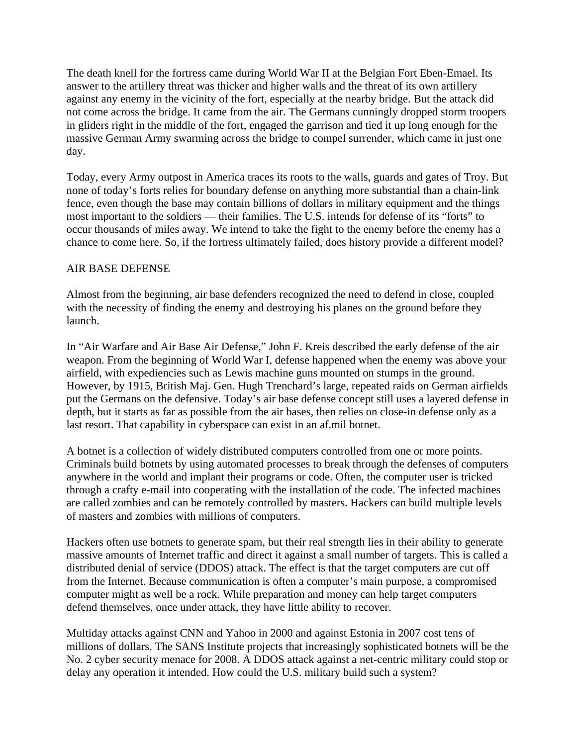The death knell for the fortress came during World War II at the Belgian Fort Eben-Emael. Its answer to the artillery threat was thicker and higher walls and the threat of its own artillery against any enemy in the vicinity of the fort, especially at the nearby bridge. But the attack did not come across the bridge. It came from the air. The Germans cunningly dropped storm troopers in gliders right in the middle of the fort, engaged the garrison and tied it up long enough for the massive German Army swarming across the bridge to compel surrender, which came in just one day.

Today, every Army outpost in America traces its roots to the walls, guards and gates of Troy. But none of today's forts relies for boundary defense on anything more substantial than a chain-link fence, even though the base may contain billions of dollars in military equipment and the things most important to the soldiers — their families. The U.S. intends for defense of its "forts" to occur thousands of miles away. We intend to take the fight to the enemy before the enemy has a chance to come here. So, if the fortress ultimately failed, does history provide a different model?

## AIR BASE DEFENSE

Almost from the beginning, air base defenders recognized the need to defend in close, coupled with the necessity of finding the enemy and destroying his planes on the ground before they launch.

In "Air Warfare and Air Base Air Defense," John F. Kreis described the early defense of the air weapon. From the beginning of World War I, defense happened when the enemy was above your airfield, with expediencies such as Lewis machine guns mounted on stumps in the ground. However, by 1915, British Maj. Gen. Hugh Trenchard's large, repeated raids on German airfields put the Germans on the defensive. Today's air base defense concept still uses a layered defense in depth, but it starts as far as possible from the air bases, then relies on close-in defense only as a last resort. That capability in cyberspace can exist in an af.mil botnet.

A botnet is a collection of widely distributed computers controlled from one or more points. Criminals build botnets by using automated processes to break through the defenses of computers anywhere in the world and implant their programs or code. Often, the computer user is tricked through a crafty e-mail into cooperating with the installation of the code. The infected machines are called zombies and can be remotely controlled by masters. Hackers can build multiple levels of masters and zombies with millions of computers.

Hackers often use botnets to generate spam, but their real strength lies in their ability to generate massive amounts of Internet traffic and direct it against a small number of targets. This is called a distributed denial of service (DDOS) attack. The effect is that the target computers are cut off from the Internet. Because communication is often a computer's main purpose, a compromised computer might as well be a rock. While preparation and money can help target computers defend themselves, once under attack, they have little ability to recover.

Multiday attacks against CNN and Yahoo in 2000 and against Estonia in 2007 cost tens of millions of dollars. The SANS Institute projects that increasingly sophisticated botnets will be the No. 2 cyber security menace for 2008. A DDOS attack against a net-centric military could stop or delay any operation it intended. How could the U.S. military build such a system?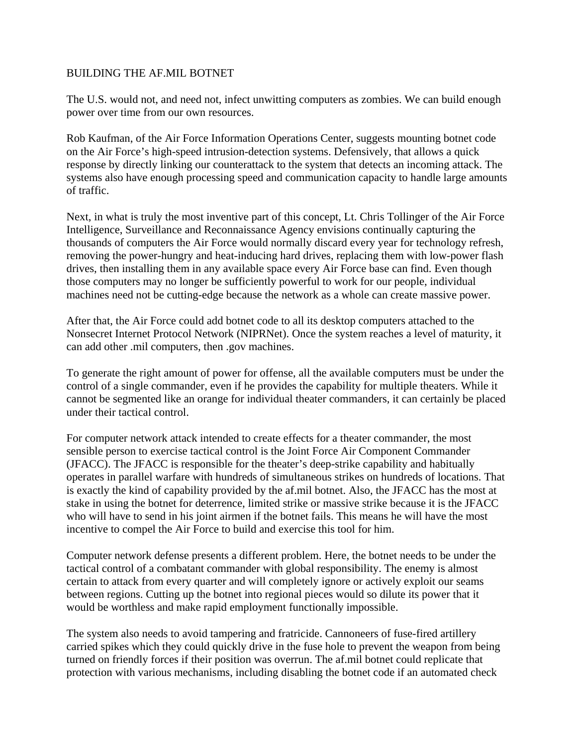## BUILDING THE AF.MIL BOTNET

The U.S. would not, and need not, infect unwitting computers as zombies. We can build enough power over time from our own resources.

Rob Kaufman, of the Air Force Information Operations Center, suggests mounting botnet code on the Air Force's high-speed intrusion-detection systems. Defensively, that allows a quick response by directly linking our counterattack to the system that detects an incoming attack. The systems also have enough processing speed and communication capacity to handle large amounts of traffic.

Next, in what is truly the most inventive part of this concept, Lt. Chris Tollinger of the Air Force Intelligence, Surveillance and Reconnaissance Agency envisions continually capturing the thousands of computers the Air Force would normally discard every year for technology refresh, removing the power-hungry and heat-inducing hard drives, replacing them with low-power flash drives, then installing them in any available space every Air Force base can find. Even though those computers may no longer be sufficiently powerful to work for our people, individual machines need not be cutting-edge because the network as a whole can create massive power.

After that, the Air Force could add botnet code to all its desktop computers attached to the Nonsecret Internet Protocol Network (NIPRNet). Once the system reaches a level of maturity, it can add other .mil computers, then .gov machines.

To generate the right amount of power for offense, all the available computers must be under the control of a single commander, even if he provides the capability for multiple theaters. While it cannot be segmented like an orange for individual theater commanders, it can certainly be placed under their tactical control.

For computer network attack intended to create effects for a theater commander, the most sensible person to exercise tactical control is the Joint Force Air Component Commander (JFACC). The JFACC is responsible for the theater's deep-strike capability and habitually operates in parallel warfare with hundreds of simultaneous strikes on hundreds of locations. That is exactly the kind of capability provided by the af.mil botnet. Also, the JFACC has the most at stake in using the botnet for deterrence, limited strike or massive strike because it is the JFACC who will have to send in his joint airmen if the botnet fails. This means he will have the most incentive to compel the Air Force to build and exercise this tool for him.

Computer network defense presents a different problem. Here, the botnet needs to be under the tactical control of a combatant commander with global responsibility. The enemy is almost certain to attack from every quarter and will completely ignore or actively exploit our seams between regions. Cutting up the botnet into regional pieces would so dilute its power that it would be worthless and make rapid employment functionally impossible.

The system also needs to avoid tampering and fratricide. Cannoneers of fuse-fired artillery carried spikes which they could quickly drive in the fuse hole to prevent the weapon from being turned on friendly forces if their position was overrun. The af.mil botnet could replicate that protection with various mechanisms, including disabling the botnet code if an automated check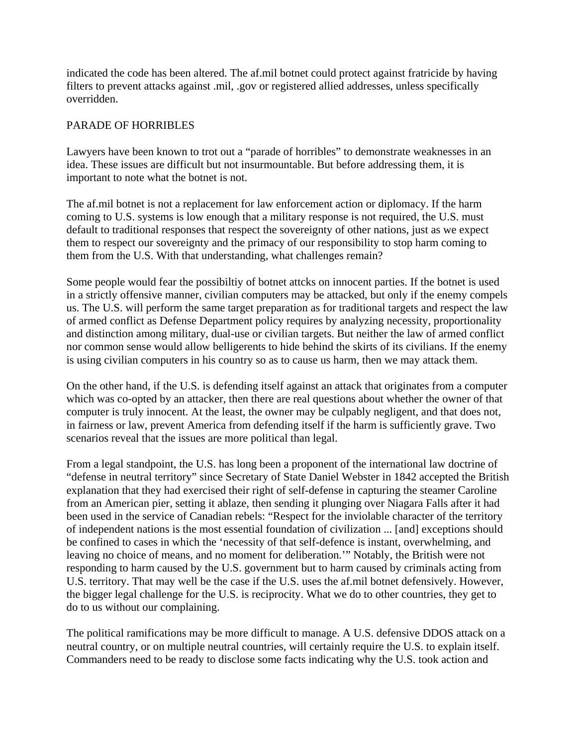indicated the code has been altered. The af.mil botnet could protect against fratricide by having filters to prevent attacks against .mil, .gov or registered allied addresses, unless specifically overridden.

## PARADE OF HORRIBLES

Lawyers have been known to trot out a "parade of horribles" to demonstrate weaknesses in an idea. These issues are difficult but not insurmountable. But before addressing them, it is important to note what the botnet is not.

The af.mil botnet is not a replacement for law enforcement action or diplomacy. If the harm coming to U.S. systems is low enough that a military response is not required, the U.S. must default to traditional responses that respect the sovereignty of other nations, just as we expect them to respect our sovereignty and the primacy of our responsibility to stop harm coming to them from the U.S. With that understanding, what challenges remain?

Some people would fear the possibiltiy of botnet attcks on innocent parties. If the botnet is used in a strictly offensive manner, civilian computers may be attacked, but only if the enemy compels us. The U.S. will perform the same target preparation as for traditional targets and respect the law of armed conflict as Defense Department policy requires by analyzing necessity, proportionality and distinction among military, dual-use or civilian targets. But neither the law of armed conflict nor common sense would allow belligerents to hide behind the skirts of its civilians. If the enemy is using civilian computers in his country so as to cause us harm, then we may attack them.

On the other hand, if the U.S. is defending itself against an attack that originates from a computer which was co-opted by an attacker, then there are real questions about whether the owner of that computer is truly innocent. At the least, the owner may be culpably negligent, and that does not, in fairness or law, prevent America from defending itself if the harm is sufficiently grave. Two scenarios reveal that the issues are more political than legal.

From a legal standpoint, the U.S. has long been a proponent of the international law doctrine of "defense in neutral territory" since Secretary of State Daniel Webster in 1842 accepted the British explanation that they had exercised their right of self-defense in capturing the steamer Caroline from an American pier, setting it ablaze, then sending it plunging over Niagara Falls after it had been used in the service of Canadian rebels: "Respect for the inviolable character of the territory of independent nations is the most essential foundation of civilization ... [and] exceptions should be confined to cases in which the 'necessity of that self-defence is instant, overwhelming, and leaving no choice of means, and no moment for deliberation.'" Notably, the British were not responding to harm caused by the U.S. government but to harm caused by criminals acting from U.S. territory. That may well be the case if the U.S. uses the af.mil botnet defensively. However, the bigger legal challenge for the U.S. is reciprocity. What we do to other countries, they get to do to us without our complaining.

The political ramifications may be more difficult to manage. A U.S. defensive DDOS attack on a neutral country, or on multiple neutral countries, will certainly require the U.S. to explain itself. Commanders need to be ready to disclose some facts indicating why the U.S. took action and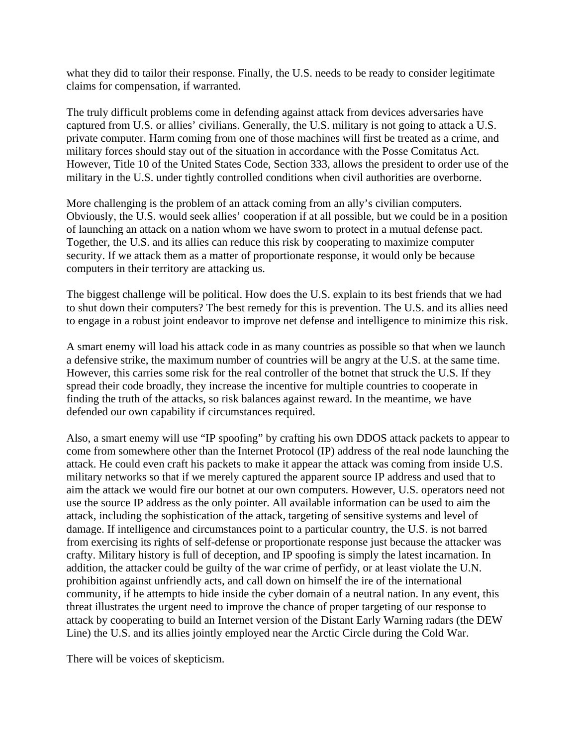what they did to tailor their response. Finally, the U.S. needs to be ready to consider legitimate claims for compensation, if warranted.

The truly difficult problems come in defending against attack from devices adversaries have captured from U.S. or allies' civilians. Generally, the U.S. military is not going to attack a U.S. private computer. Harm coming from one of those machines will first be treated as a crime, and military forces should stay out of the situation in accordance with the Posse Comitatus Act. However, Title 10 of the United States Code, Section 333, allows the president to order use of the military in the U.S. under tightly controlled conditions when civil authorities are overborne.

More challenging is the problem of an attack coming from an ally's civilian computers. Obviously, the U.S. would seek allies' cooperation if at all possible, but we could be in a position of launching an attack on a nation whom we have sworn to protect in a mutual defense pact. Together, the U.S. and its allies can reduce this risk by cooperating to maximize computer security. If we attack them as a matter of proportionate response, it would only be because computers in their territory are attacking us.

The biggest challenge will be political. How does the U.S. explain to its best friends that we had to shut down their computers? The best remedy for this is prevention. The U.S. and its allies need to engage in a robust joint endeavor to improve net defense and intelligence to minimize this risk.

A smart enemy will load his attack code in as many countries as possible so that when we launch a defensive strike, the maximum number of countries will be angry at the U.S. at the same time. However, this carries some risk for the real controller of the botnet that struck the U.S. If they spread their code broadly, they increase the incentive for multiple countries to cooperate in finding the truth of the attacks, so risk balances against reward. In the meantime, we have defended our own capability if circumstances required.

Also, a smart enemy will use "IP spoofing" by crafting his own DDOS attack packets to appear to come from somewhere other than the Internet Protocol (IP) address of the real node launching the attack. He could even craft his packets to make it appear the attack was coming from inside U.S. military networks so that if we merely captured the apparent source IP address and used that to aim the attack we would fire our botnet at our own computers. However, U.S. operators need not use the source IP address as the only pointer. All available information can be used to aim the attack, including the sophistication of the attack, targeting of sensitive systems and level of damage. If intelligence and circumstances point to a particular country, the U.S. is not barred from exercising its rights of self-defense or proportionate response just because the attacker was crafty. Military history is full of deception, and IP spoofing is simply the latest incarnation. In addition, the attacker could be guilty of the war crime of perfidy, or at least violate the U.N. prohibition against unfriendly acts, and call down on himself the ire of the international community, if he attempts to hide inside the cyber domain of a neutral nation. In any event, this threat illustrates the urgent need to improve the chance of proper targeting of our response to attack by cooperating to build an Internet version of the Distant Early Warning radars (the DEW Line) the U.S. and its allies jointly employed near the Arctic Circle during the Cold War.

There will be voices of skepticism.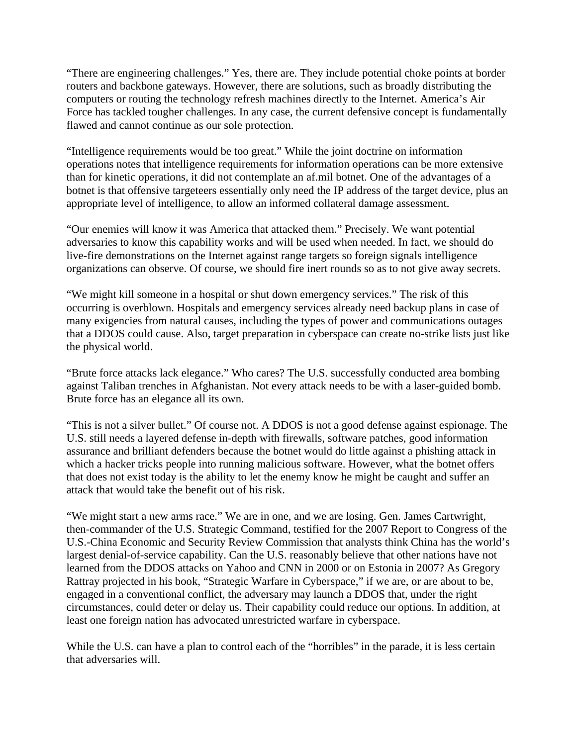"There are engineering challenges." Yes, there are. They include potential choke points at border routers and backbone gateways. However, there are solutions, such as broadly distributing the computers or routing the technology refresh machines directly to the Internet. America's Air Force has tackled tougher challenges. In any case, the current defensive concept is fundamentally flawed and cannot continue as our sole protection.

"Intelligence requirements would be too great." While the joint doctrine on information operations notes that intelligence requirements for information operations can be more extensive than for kinetic operations, it did not contemplate an af.mil botnet. One of the advantages of a botnet is that offensive targeteers essentially only need the IP address of the target device, plus an appropriate level of intelligence, to allow an informed collateral damage assessment.

"Our enemies will know it was America that attacked them." Precisely. We want potential adversaries to know this capability works and will be used when needed. In fact, we should do live-fire demonstrations on the Internet against range targets so foreign signals intelligence organizations can observe. Of course, we should fire inert rounds so as to not give away secrets.

"We might kill someone in a hospital or shut down emergency services." The risk of this occurring is overblown. Hospitals and emergency services already need backup plans in case of many exigencies from natural causes, including the types of power and communications outages that a DDOS could cause. Also, target preparation in cyberspace can create no-strike lists just like the physical world.

"Brute force attacks lack elegance." Who cares? The U.S. successfully conducted area bombing against Taliban trenches in Afghanistan. Not every attack needs to be with a laser-guided bomb. Brute force has an elegance all its own.

"This is not a silver bullet." Of course not. A DDOS is not a good defense against espionage. The U.S. still needs a layered defense in-depth with firewalls, software patches, good information assurance and brilliant defenders because the botnet would do little against a phishing attack in which a hacker tricks people into running malicious software. However, what the botnet offers that does not exist today is the ability to let the enemy know he might be caught and suffer an attack that would take the benefit out of his risk.

"We might start a new arms race." We are in one, and we are losing. Gen. James Cartwright, then-commander of the U.S. Strategic Command, testified for the 2007 Report to Congress of the U.S.-China Economic and Security Review Commission that analysts think China has the world's largest denial-of-service capability. Can the U.S. reasonably believe that other nations have not learned from the DDOS attacks on Yahoo and CNN in 2000 or on Estonia in 2007? As Gregory Rattray projected in his book, "Strategic Warfare in Cyberspace," if we are, or are about to be, engaged in a conventional conflict, the adversary may launch a DDOS that, under the right circumstances, could deter or delay us. Their capability could reduce our options. In addition, at least one foreign nation has advocated unrestricted warfare in cyberspace.

While the U.S. can have a plan to control each of the "horribles" in the parade, it is less certain that adversaries will.